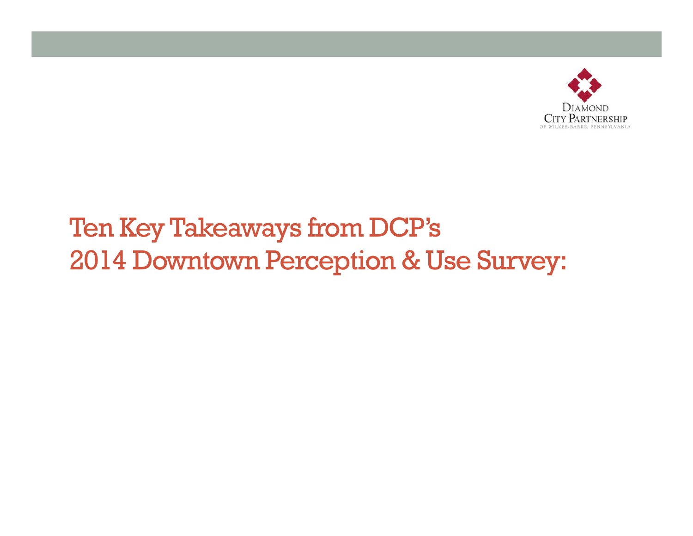

## Ten Key Takeaways from DCP's 2014 Downtown Perception & Use Survey: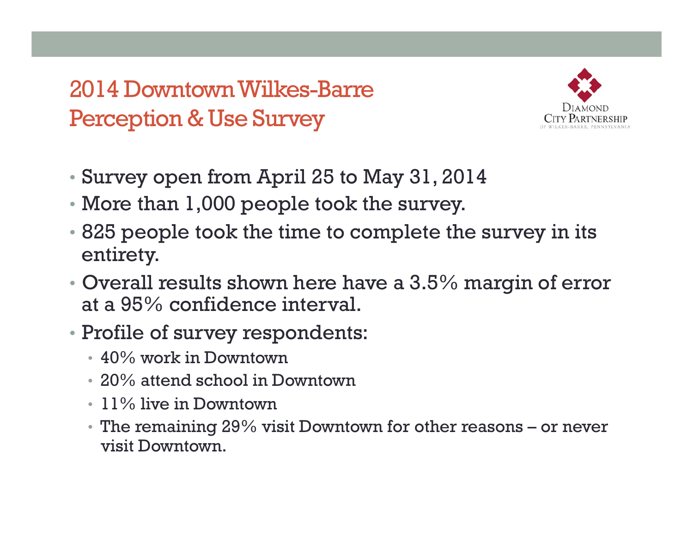2014 Downtown Wilkes-Barre Perception & Use Survey



- Survey open from April 25 to May 31, 2014
- More than 1,000 people took the survey.
- 825 people took the time to complete the survey in its entirety.
- Overall results shown here have a 3.5% margin of error at a 95% confidence interval.
- Profile of survey respondents:
	- 40% work in Downtown
	- 20% attend school in Downtown
	- 11% live in Downtown
	- The remaining 29% visit Downtown for other reasons or never visit Downtown.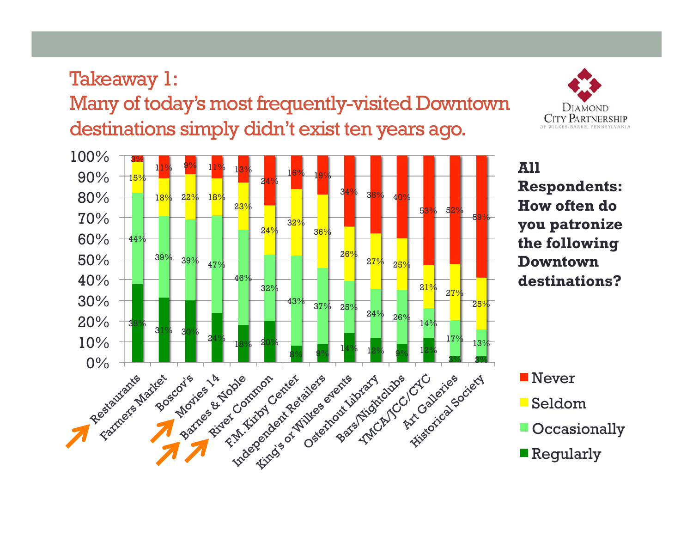Takeaway 1: Many of today's most frequently-visited Downtown destinations simply didn't exist ten years ago.





**All Respondents: How often do you patronize the following Downtown destinations?** 

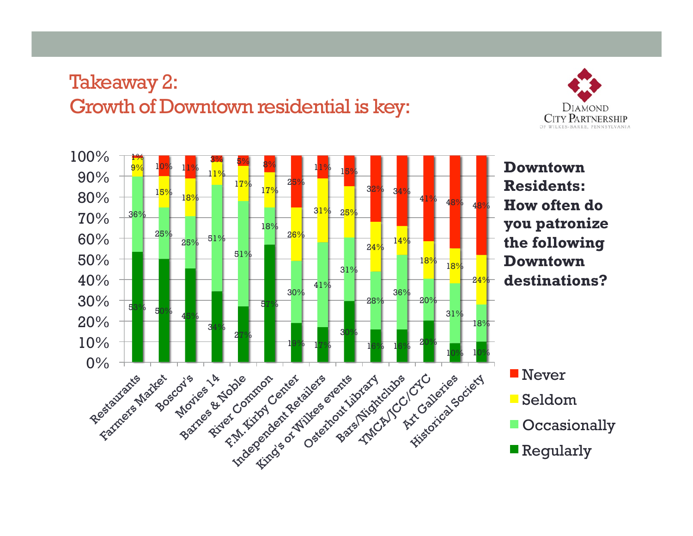## Takeaway 2: Growth of Downtown residential is key:



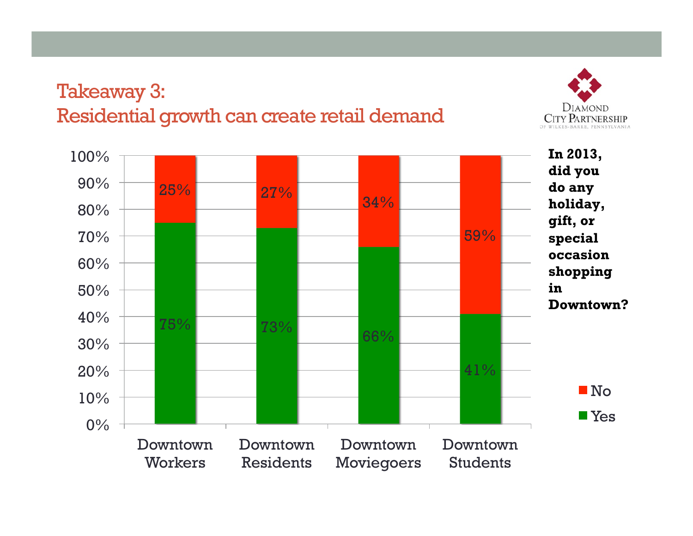### Takeaway 3: Residential growth can create retail demand



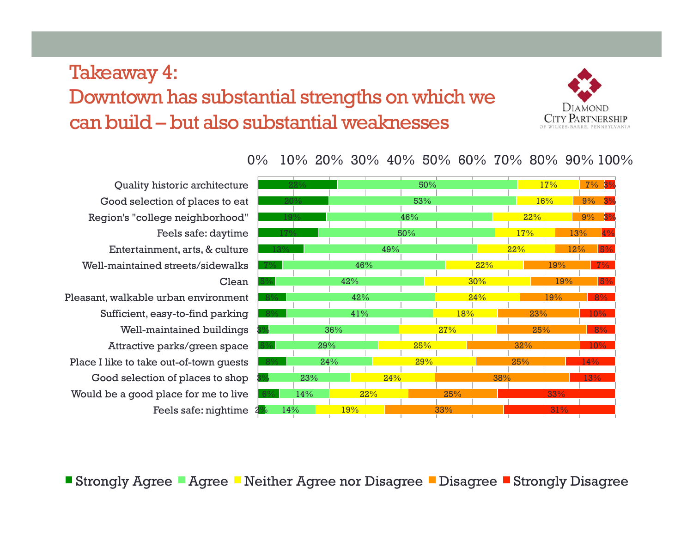### Takeaway 4: Downtown has substantial strengths on which we can build – but also substantial weaknesses



Feels safe: nightime 2<mark>%</mark> Quality historic architecture Good selection of places to eat Region's "college neighborhood" Feels safe: daytime Entertainment, arts, & culture Well-maintained streets/sidewalks Clean Pleasant, walkable urban environment Sufficient, easy-to-find parking Well-maintained buildings Attractive parks/green space Place I like to take out-of-town guests Good selection of places to shop Would be a good place for me to live



0% 10% 20% 30% 40% 50% 60% 70% 80% 90% 100%

■ Strongly Agree ■ Agree ■ Neither Agree nor Disagree ■ Disagree ■ Strongly Disagree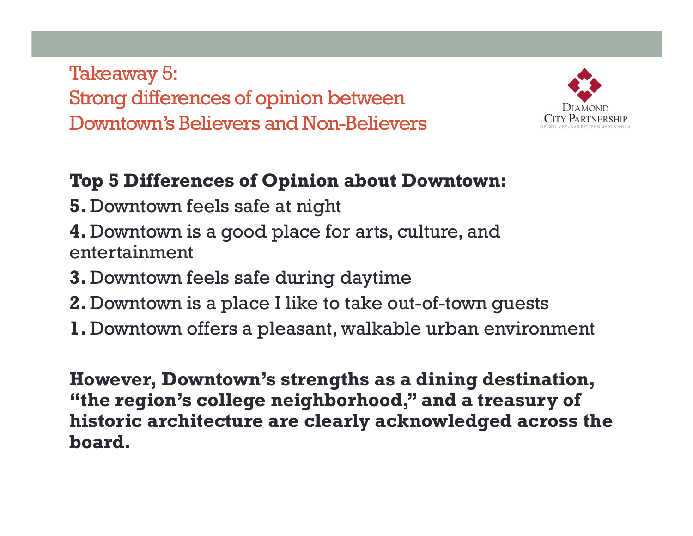Takeaway 5: Strong differences of opinion between Downtown's Believers and Non-Believers



### **Top 5 Differences of Opinion about Downtown:**

- **5.** Downtown feels safe at night
- **4.** Downtown is a good place for arts, culture, and entertainment
- **3.** Downtown feels safe during daytime
- **2.** Downtown is a place I like to take out-of-town guests
- **1.** Downtown offers a pleasant, walkable urban environment

**However, Downtown's strengths as a dining destination, "the region's college neighborhood," and a treasury of historic architecture are clearly acknowledged across the board.**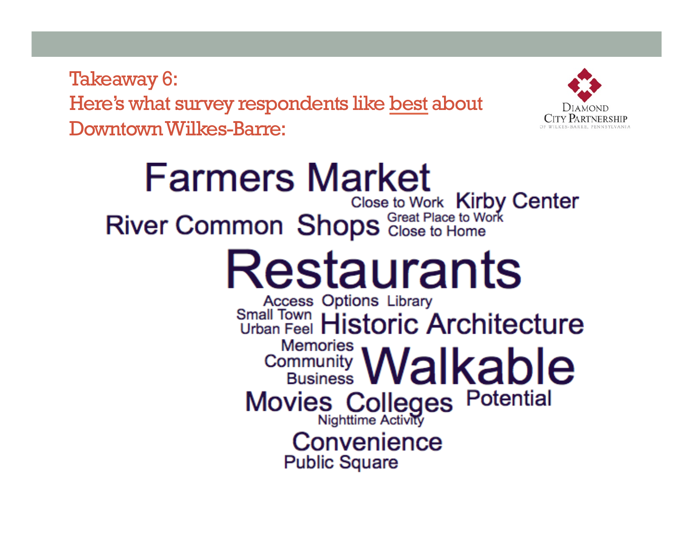Takeaway 6: Here's what survey respondents like best about Downtown Wilkes-Barre:



## **Farmers Market** River Common Shops Close to Work Kirby Center Restaurants **Access Options Library** Small Town Historic Architecture **Memories** Community **Walkable** Movies Colleges Potential Convenience **Public Square**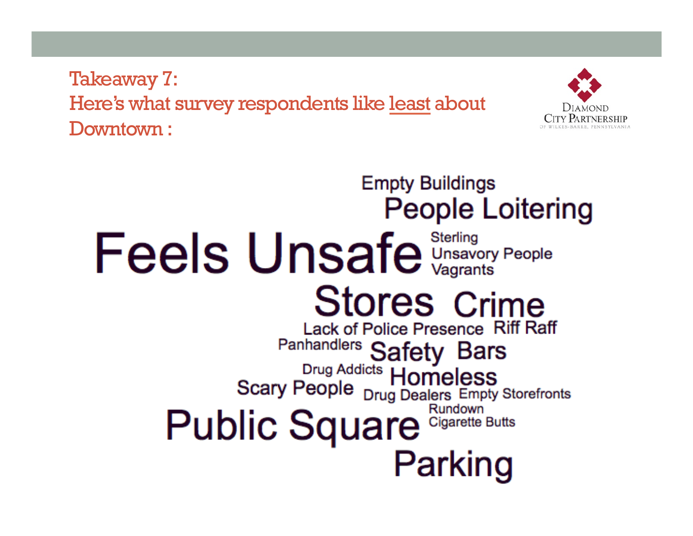Takeaway 7: Here's what survey respondents like least about Downtown :



## **Empty Buildings People Loitering** Feels Unsafe Unsavory People **Stores Crime** Lack of Police Presence Riff Raff Panhandlers Safety Bars<br>Drug Addicts Homeless<br>Scary People <sub>Drug Dealers</sub> Empty Storefronts Rundown Public Square Cigarette Butts Parking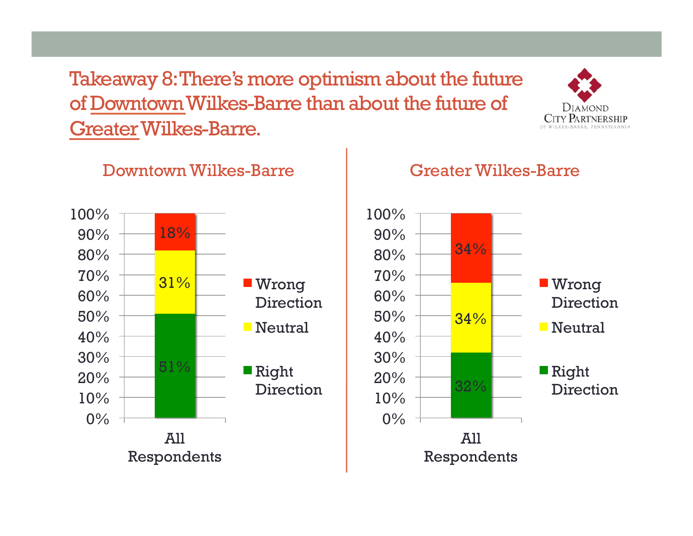Takeaway 8: There's more optimism about the future of Downtown Wilkes-Barre than about the future of Greater Wilkes-Barre.



#### Downtown Wilkes-Barre



#### Greater Wilkes-Barre

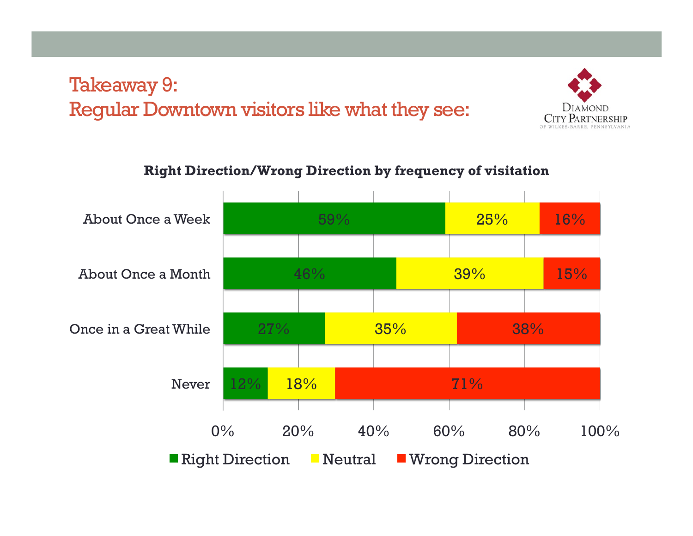### Takeaway 9: Regular Downtown visitors like what they see:



#### **Right Direction/Wrong Direction by frequency of visitation**

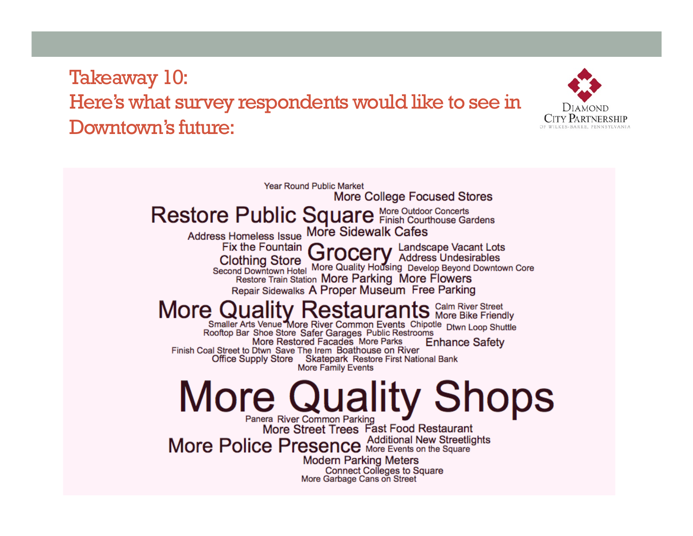## Takeaway 10: Here's what survey respondents would like to see in Downtown's future:



**Year Round Public Market More College Focused Stores** Restore Public Square More Outdoor Concerts Address Homeless Issue More Sidewalk Cafes Fix the Fountain **Grocery** Landscape Vacant Lots Clothing Store<br>Second Downtown Hotel More Quality Housing Develop Beyond Downtown Core **Restore Train Station More Parking More Flowers** Repair Sidewalks A Proper Museum Free Parking More Quality Restaurants More Bike Friendly<br>Rooftop Bar Shoe Store Safer Garages Public Restrooms More Restored Facades More Parks **Enhance Safety** Finish Coal Street to Dtwn Save The Irem Boathouse on River Office Supply Store Skatepark Restore First National Bank More Family Events **More Quality Shops** Panera River Common Parking<br>More Street Trees Fast Food Restaurant More Police Presence Additional New Streetlights **Modern Parking Meters Connect Colleges to Square** More Garbage Cans on Street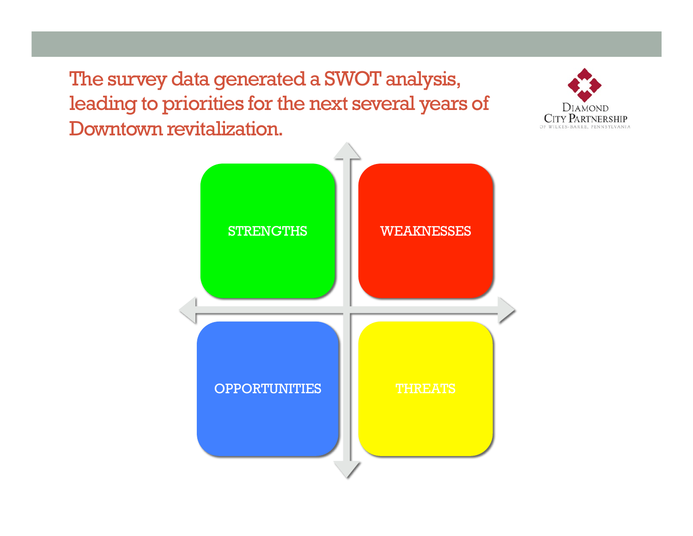The survey data generated a SWOT analysis, leading to priorities for the next several years of Downtown revitalization.



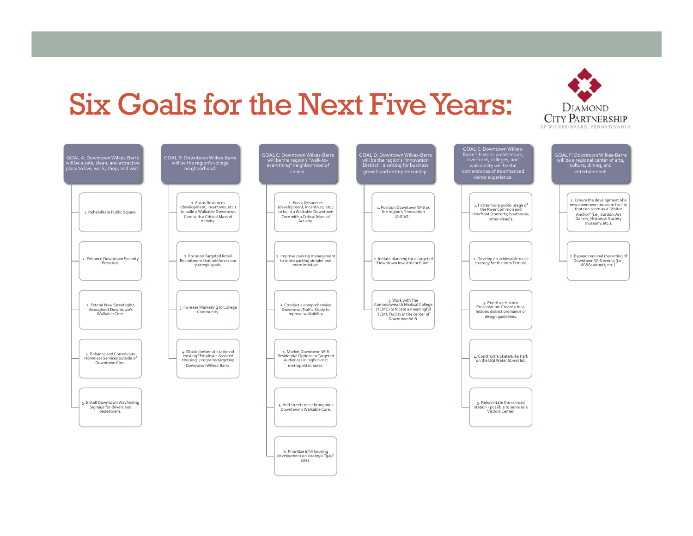## Six Goals for the Next Five Years: